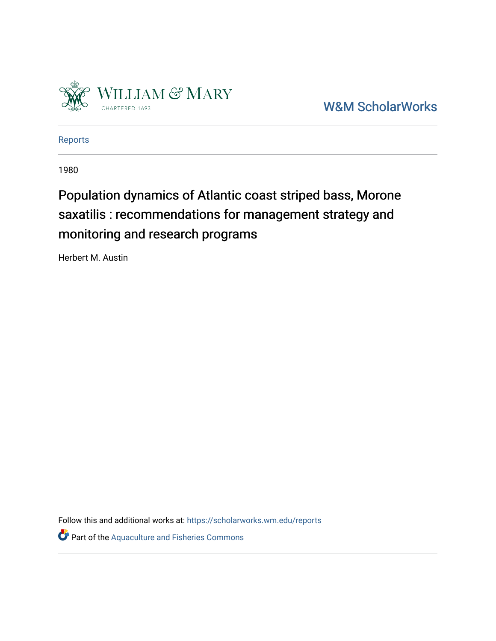

[W&M ScholarWorks](https://scholarworks.wm.edu/) 

[Reports](https://scholarworks.wm.edu/reports)

1980

# Population dynamics of Atlantic coast striped bass, Morone saxatilis : recommendations for management strategy and monitoring and research programs

Herbert M. Austin

Follow this and additional works at: [https://scholarworks.wm.edu/reports](https://scholarworks.wm.edu/reports?utm_source=scholarworks.wm.edu%2Freports%2F2763&utm_medium=PDF&utm_campaign=PDFCoverPages)

Part of the [Aquaculture and Fisheries Commons](https://network.bepress.com/hgg/discipline/78?utm_source=scholarworks.wm.edu%2Freports%2F2763&utm_medium=PDF&utm_campaign=PDFCoverPages)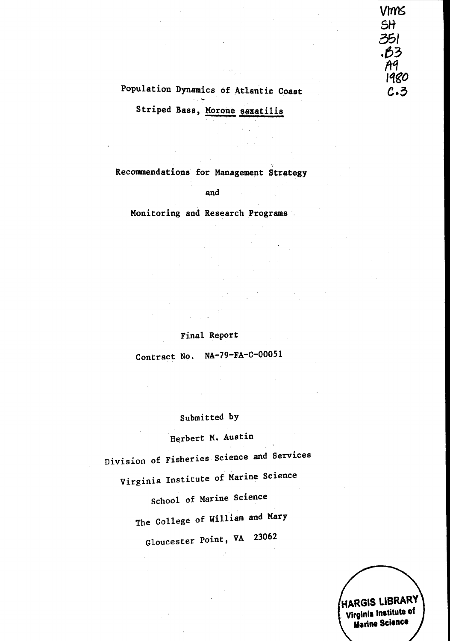## VMS SH 351 .B3 A9 1980  $c.3$

## Population Dynamics of Atlantic Coast

Striped Bass, Morone saxatilis

Recommendations for Management Strategy

and

Monitoring and Research Programs

### Final Report

Contract No. NA-79-FA-C-00051

### Submitted by

Herbert M. Austin

Division of Fisheries Science and Services Virginia Institute of Marine Science School of Marine Science The College of William and Mary Gloucester Point, VA 23062

HARGIS LIBRARY Virginia Institute of **Marine Science**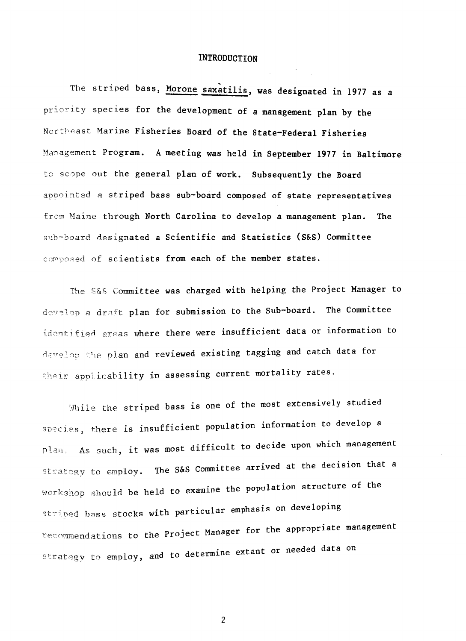### **INTRODUCTION**

The striped bass, Morone saxatilis, was designated in 1977 as a priority species for the development of a management plan by the Northeast Marine Fisheries Board of the State-Federal Fisheries Management Program. A meeting was held in September 1977 in Baltimore to scope out the general plan of work. Subsequently the Board appointed a striped bass sub-board composed of state representatives from Maine through North Carolina to develop a management plan. The sub-board designated a Scientific and Statistics (S&S) Committee composed of scientists from each of the member states.

The S&S Committee was charged with helping the Project Manager to develop a draft plan for submission to the Sub-board. The Committee identified areas where there were insufficient data or information to develop the plan and reviewed existing tagging and catch data for their applicability in assessing current mortality rates.

While the striped bass is one of the most extensively studied species, there is insufficient population information to develop a plan. As such, it was most difficult to decide upon which management strategy to employ. The S&S Committee arrived at the decision that a workshop should be held to examine the population structure of the striped bass stocks with particular emphasis on developing recommendations to the Project Manager for the appropriate management strategy to employ, and to determine extant or needed data on

 $\overline{2}$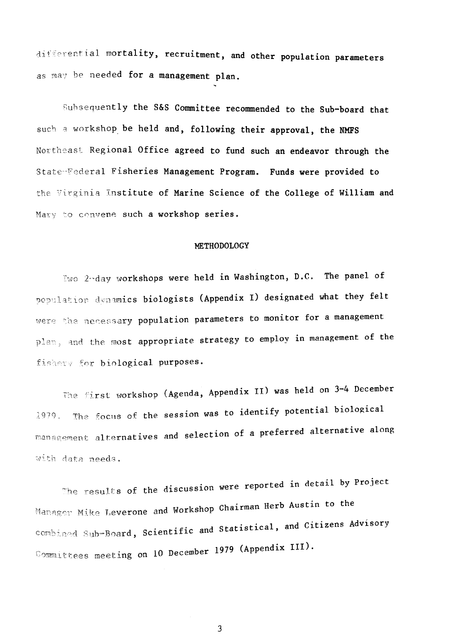differential mortality, recruitment, and other population parameters as may be needed for a management plan.

Subsequently the S&S Committee recommended to the Sub-board that such a workshop be held and, following their approval, the NMFS Northeast Regional Office agreed to fund such an endeavor through the State-Federal Fisheries Management Program. Funds were provided to the Virginia Institute of Marine Science of the College of William and Mary to convene such a workshop series.

#### METHODOLOGY

Iwo 2nday workshops were held in Washington, D.C. The panel of population dynamics biologists (Appendix I) designated what they felt were the necessary population parameters to monitor for a management plan, and the most appropriate strategy to employ in management of the fishery for biological purposes.

The first workshop (Agenda, Appendix II) was held on 3-4 December 1979. The focus of the session was to identify potential biological management alternatives and selection of a preferred alternative along with data needs.

The results of the discussion were reported in detail by Project Manager Mike Leverone and Workshop Chairman Herb Austin to the combined Sub-Board, Scientific and Statistical, and Citizens Advisory Committees meeting on 10 December 1979 (Appendix III).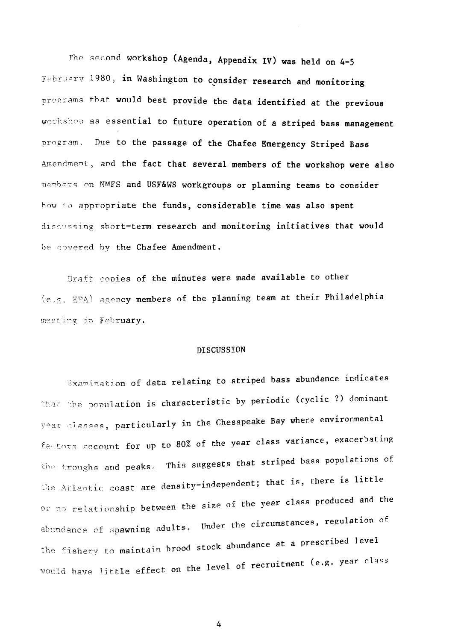The second workshop (Agenda, Appendix IV) was held on 4-5 February 1980, in Washington to consider research and monitoring programs that would best provide the data identified at the previous workshep as essential to future operation of a striped bass management program. Due to the passage of the Chafee Emergency Striped Bass Amendment, and the fact that several members of the workshop were also members on NMFS and USF&WS workgroups or planning teams to consider how to appropriate the funds, considerable time was also spent discussing short-term research and monitoring initiatives that would be covered by the Chafee Amendment.

Draft copies of the minutes were made available to other (e.g. EPA) agency members of the planning team at their Philadelphia meeting in February.

#### **DISCUSSION**

Examination of data relating to striped bass abundance indicates that the population is characteristic by periodic (cyclic ?) dominant year classes, particularly in the Chesapeake Bay where environmental factors account for up to 80% of the year class variance, exacerbating the troughs and peaks. This suggests that striped bass populations of the Atlantic coast are density-independent; that is, there is little or no relationship between the size of the year class produced and the abundance of spawning adults. Under the circumstances, regulation of the fishery to maintain brood stock abundance at a prescribed level would have little effect on the level of recruitment (e.g. year class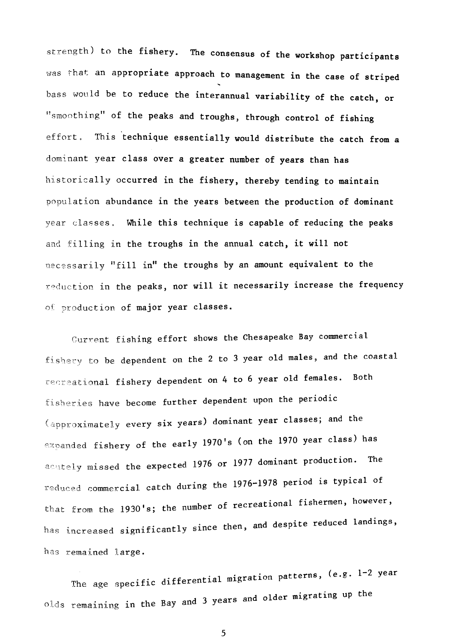strength) to the fishery. The consensus of the workshop participants was that an appropriate approach to management in the case of striped bass would be to reduce the interannual variability of the catch, or "smoothing" of the peaks and troughs, through control of fishing This technique essentially would distribute the catch from a effort. dominant year class over a greater number of years than has historically occurred in the fishery, thereby tending to maintain population abundance in the years between the production of dominant year classes. While this technique is capable of reducing the peaks and filling in the troughs in the annual catch, it will not necessarily "fill in" the troughs by an amount equivalent to the reduction in the peaks, nor will it necessarily increase the frequency of production of major year classes.

Current fishing effort shows the Chesapeake Bay commercial fishery to be dependent on the 2 to 3 year old males, and the coastal recreational fishery dependent on 4 to 6 year old females. Both fisheries have become further dependent upon the periodic (approximately every six years) dominant year classes; and the expanded fishery of the early 1970's (on the 1970 year class) has acutely missed the expected 1976 or 1977 dominant production. The reduced commercial catch during the 1976-1978 period is typical of that from the 1930's; the number of recreational fishermen, however, has increased significantly since then, and despite reduced landings, has remained large.

The age specific differential migration patterns, (e.g. 1-2 year olds remaining in the Bay and 3 years and older migrating up the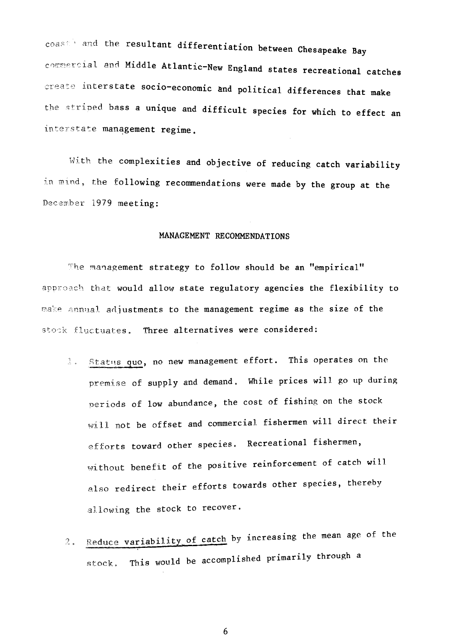coast and the resultant differentiation between Chesapeake Bay commercial and Middle Atlantic-New England states recreational catches create interstate socio-economic and political differences that make the striped bass a unique and difficult species for which to effect an interstate management regime.

With the complexities and objective of reducing catch variability in mind, the following recommendations were made by the group at the December 1979 meeting:

#### MANAGEMENT RECOMMENDATIONS

The management strategy to follow should be an "empirical" approach that would allow state regulatory agencies the flexibility to make annual adjustments to the management regime as the size of the stock fluctuates. Three alternatives were considered:

- 3. Status quo, no new management effort. This operates on the premise of supply and demand. While prices will go up during periods of low abundance, the cost of fishing on the stock will not be offset and commercial fishermen will direct their efforts toward other species. Recreational fishermen, without benefit of the positive reinforcement of catch will also redirect their efforts towards other species, thereby allowing the stock to recover.
- Reduce variability of catch by increasing the mean age of the  $2.1$ This would be accomplished primarily through a stock.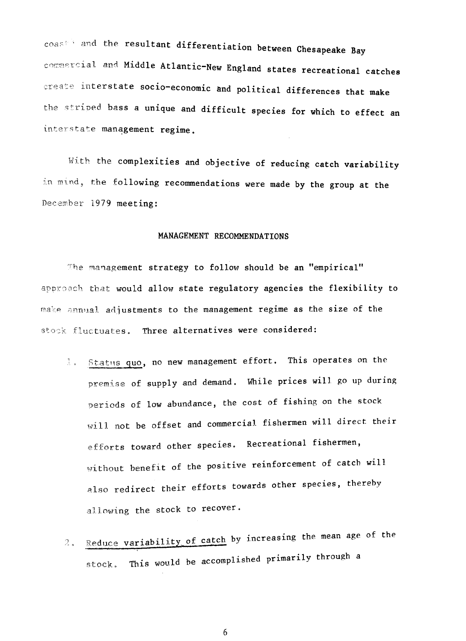coast and the resultant differentiation between Chesapeake Bay commercial and Middle Atlantic-New England states recreational catches create interstate socio-economic and political differences that make the striped bass a unique and difficult species for which to effect an interstate management regime.

With the complexities and objective of reducing catch variability in mind, the following recommendations were made by the group at the December 1979 meeting:

#### MANAGEMENT RECOMMENDATIONS

The management strategy to follow should be an "empirical" approach that would allow state regulatory agencies the flexibility to make annual adjustments to the management regime as the size of the stock fluctuates. Three alternatives were considered:

- 1. Status quo, no new management effort. This operates on the premise of supply and demand. While prices will go up during periods of low abundance, the cost of fishing on the stock will not be offset and commercial fishermen will direct their efforts toward other species. Recreational fishermen, without benefit of the positive reinforcement of catch will also redirect their efforts towards other species, thereby allowing the stock to recover.
- Reduce variability of catch by increasing the mean age of the  $2.1$ This would be accomplished primarily through a stock.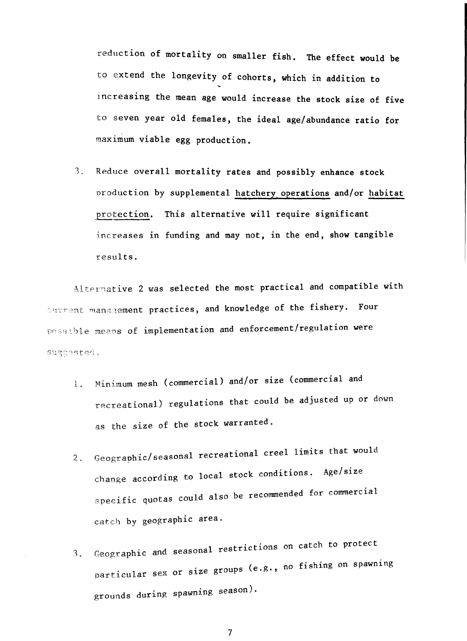reduction of mortality on smaller fish. The effect would be to extend the longevity of cohorts, which in addition to increasing the mean age would increase the stock size of five to seven year old females, the ideal age/abundance ratio for maximum viable egg production.

3, Reduce overall mortality rates and possibly enhance stock nroduction by supplemental hatchery operations and/or habitat protection. This alternative will require significant 1ncreases in funding and may not, in the end, **show** tangible results.

Altermative 2 was selected the most practical and compatible with Ourrent management practices, and knowledge of the fishery. Four possible means of implementation and enforcement/regulation were suggested.

- 1. Minimum mesh (commercial) and/or size (commercial and recreational) regulations that could be adjusted up or down as the size of the stock warranted.
- $\pmb{2}$  . Geographic/seasonal recreational creel limits that would change according to local stock conditions. Age/size specific quotas could also be recommended for commercial catch by geographic area.
- 1, Geographic and seasonal restrictions on catch to protect particular sex or size groups (e.g., no fishing on spawning grounds during spawning season),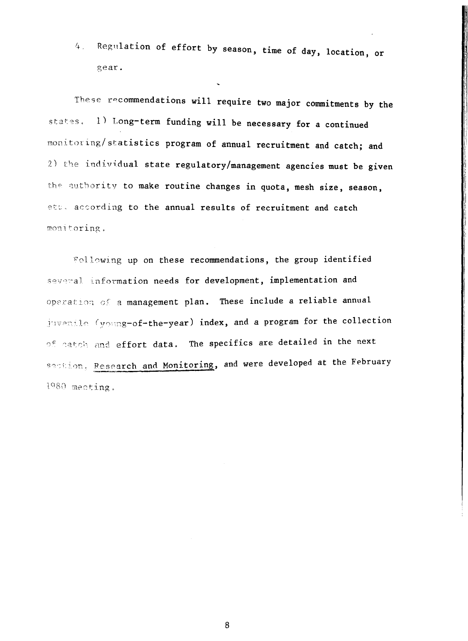Regulation of effort by season, time of day, location, or  $4.1$ gear.

These recommendations will require two major commitments by the states. 1) Long-term funding will be necessary for a continued monitoring/statistics program of annual recruitment and catch; and 2) the individual state regulatory/management agencies must be given the authority to make routine changes in quota, mesh size, season, etc. according to the annual results of recruitment and catch monitoring.

Following up on these recommendations, the group identified several information needs for development, implementation and operation of a management plan. These include a reliable annual juvenile (young-of-the-year) index, and a program for the collection of catch and effort data. The specifics are detailed in the next section, Research and Monitoring, and were developed at the February  $1980$  meeting.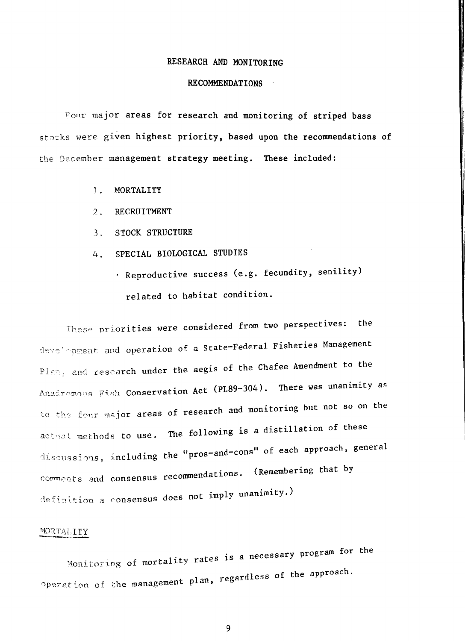### RESEARCH AND MONITORING

#### RECOMMENDATIONS

Four major areas for research and monitoring of striped bass stocks were given highest priority, based upon the recommendations of the December management strategy meeting. These included:

- 1. MORTALITY
- ? RECRUITMENT
- 3, STOCK STRUCTURE
- 4. SPECIAL BIOLOGICAL STUDIES
	- Reproductive success (e.g. fecundity, senility) related to habitat condition.

These priorities were considered from two perspectives: the development and operation of a State-Federal Fisheries Management Plan, and research under the aegis of the Chafee Amendment to the Anadromous Fish Conservation Act (PL89-304). There was unanimity as to the four major areas of research and monitoring but not so on the actmal methods to use. The following is a distillation of these discussions, including the "pros-and-cons" of each approach, general comments and consensus recommendations. (Remembering that by definition a consensus does not imply unanimity.)

#### $MORTAI,ITY$

Monitoring of mortality rates is a necessary program for the  $Operation$  of the management plan, regardless of the approach.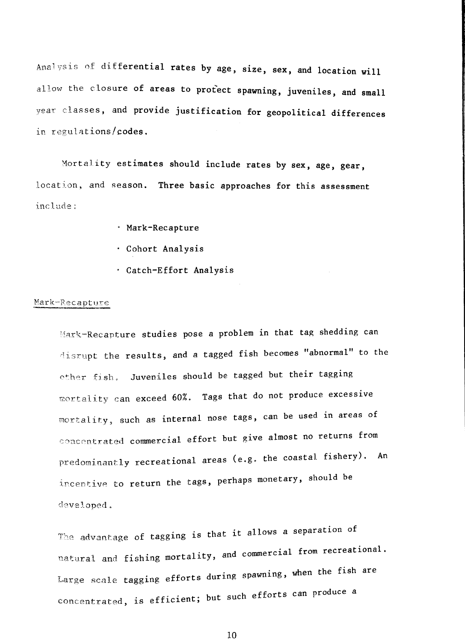Analysis of differential rates by age, size, sex, and location will allow the closure of areas to protect spawning, juveniles, and small year classes, and provide justification for geopolitical differences in regulations/codes.

Mortality estimates should include rates by sex, age, gear, location, and season. Three basic approaches for this assessment include;

- Mark-Recapture
- Cohort Analysis
- Catch-Effort Analysis

### Mark-Recapture

Mark-Recapture studies pose a problem in that tag shedding can disrupt the results, and a tagged fish becomes "abnormal" to the other fish. Juveniles should be tagged but their tagging mortality can exceed 60%. Tags that do not produce excessive mortality, such as internal nose tags, can be used in areas of concentrated commercial effort but give almost no returns from predominantly recreational areas (e.g. the coastal fishery). An incentive to return the tags, perhaps monetary, should be developed.

The advantage of tagging is that it allows a separation of natural and fishing mortality, and commercial from recreational. Large scale tagging efforts during spawning, when the fish are concentrated, is efficient; but such efforts can produce a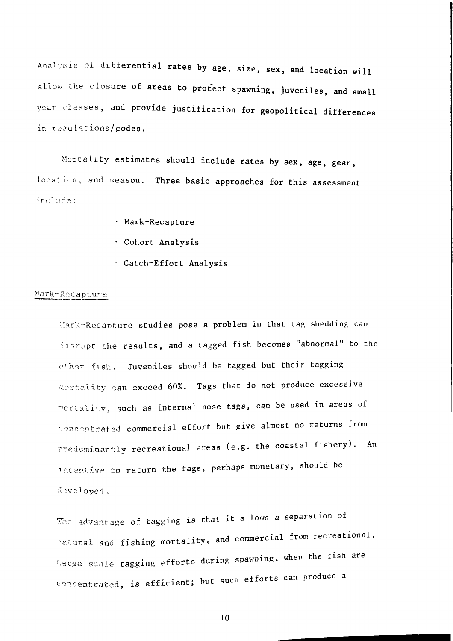Analysis of differential rates by age, size, sex, and location will allow the closure of areas to protect spawning, juveniles, and small vear classes, and provide justification for geopolitical differences in regulations/codes.

Mortality estimates should include rates by sex, age, gear, location, and season. Three basic approaches for this assessment include:

- · Mark-Recapture
- · Cohort Analysis
- Catch-Effort Analysis

### Mark-Recapture

Mark-Recapture studies pose a problem in that tag shedding can disrupt the results, and a tagged fish becomes "abnormal" to the other fish. Juveniles should be tagged but their tagging mortality can exceed 60%. Tags that do not produce excessive mortality, such as internal nose tags, can be used in areas of concentrated commercial effort but give almost no returns from predominantly recreational areas (e.g. the coastal fishery). An incentive to return the tags, perhaps monetary, should be developed.

The advantage of tagging is that it allows a separation of natural and fishing mortality, and commercial from recreational. Large scale tagging efforts during spawning, when the fish are concentrated, is efficient; but such efforts can produce a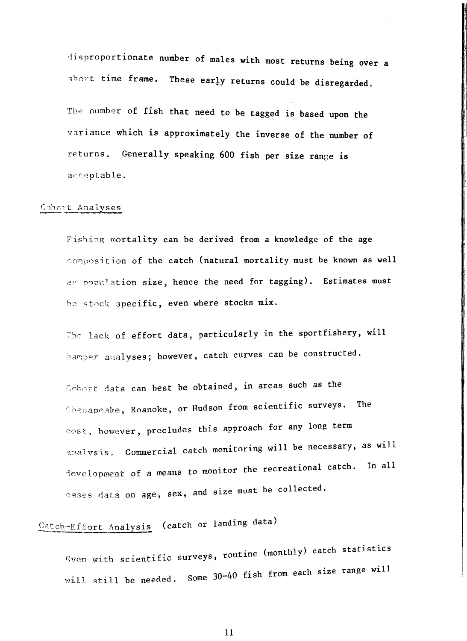disproportionate number of males with most returns being over a short time frame. These early returns could be disregarded.

The number of fish that need to be tagged is based upon the variance which is approximately the inverse of the number of returns. Generally speaking 600 fish per size range **1s** · acceptable.

### Cohort Analyses

Fishing mortality can be derived from a knowledge of the age ·:omposition of the catch (natural mortality must be known as well as population size, hence the need for tagging). Estimates must he stock specific, even where stocks mix.

The lack of effort data, particularly in the sportfishery, will hamper analyses; however, catch curves can be constructed.

Cohort data can best be obtained, in areas such as the Shesapeake, Roanoke, or Hudson from scientific surveys. The cost., however, precludes this approach for any long term analysis. Commercial catch monitoring will be necessary, as will development of a means to monitor the recreational catch. In all cases data on age, sex, and size must be collected.

# Catch-Effort Analysis (catch or landing data)

rou tine (monthly) catch statistics Even with scientific surveys, will still be needed. Some 30-40 fish from each size range will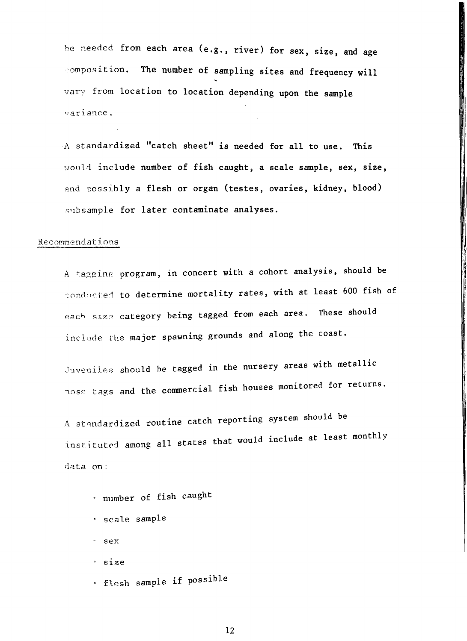he needed from each area (e.g., river) for sex, size, and age composition. The number of sampling sites and frequency will  $\forall$ ar $\forall$  from location to location depending upon the sample '.1ariance.

A standardized "catch sheet" is needed for all to use. This would include number of fish caught, a scale sample, sex, size, and possibly *a* flesh or organ (testes, ovaries, kidney, blood) subsample for later contaminate analyses.

#### Recommendations

A ~agginr, program, 1n concert with *a* cohort analysis, should be conducted to determine mortality rates, with at least 600 fish of each size category being tagged from each area. These should include the major spawning grounds and along the coast.

Juveniles should be tagged in the nursery areas with metallic nose tags and the commercial fish houses monitored for returns.

A standardized routine catch reporting system should be instituted among all states that would include at least monthly data on:

- number of fish caught
- scale sample
- sex
- size
- flesh sample if possible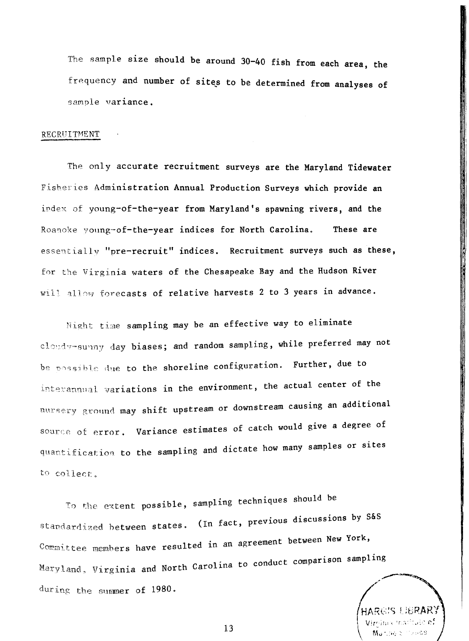The sample size should be around 30-40 fish from each area, the frequency and number of sites to be determined from analyses of sample variance.

#### RECRUITMENT

The only accurate recruitment surveys are the Maryland Tidewater Fisheries Administration Annual Production Surveys which provide an index of young-of-the-year from Maryland's spawning rivers, and the Roanoke young-of-the-year indices for North Carolina. These are essentially "pre-recruit" indices. Recruitment surveys such as these. for the Virginia waters of the Chesapeake Bay and the Hudson River will allow forecasts of relative harvests 2 to 3 years in advance.

Night time sampling may be an effective way to eliminate cloudy-sunny day biases; and random sampling, while preferred may not be possible due to the shoreline configuration. Further, due to interannual variations in the environment, the actual center of the nursery ground may shift upstream or downstream causing an additional source of error. Variance estimates of catch would give a degree of quantification to the sampling and dictate how many samples or sites to collect.

To the extent possible, sampling techniques should be standardized between states. (In fact, previous discussions by S&S Committee members have resulted in an agreement between New York, Maryland, Virginia and North Carolina to conduct comparison sampling during the summer of 1980.

ి లే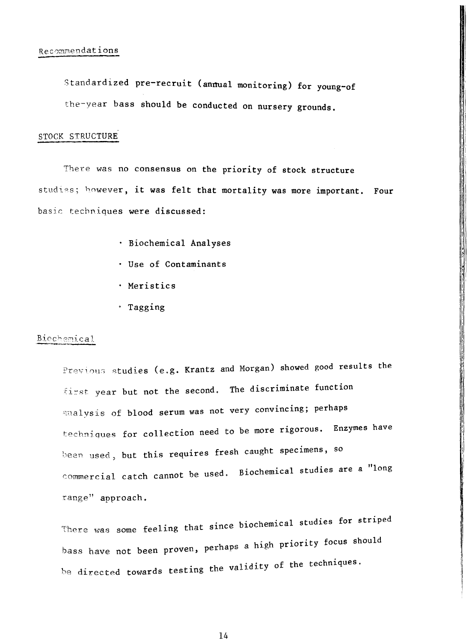Standardized pre-recruit (annual monitoring) for young-of the-year bass should be conducted on nursery grounds.

### STOCK STRUCTURE

There was no consensus on the priority of stock structure studies; however, it was felt that mortality was more important. Four basic techniques were discussed:

- · Biochemical Analyses
- · Use of Contaminants
- · Meristics
- · Tagging

### Biochemical

Previous studies (e.g. Krantz and Morgan) showed good results the first year but not the second. The discriminate function analysis of blood serum was not very convincing; perhaps techniques for collection need to be more rigorous. Enzymes have been used, but this requires fresh caught specimens, so commercial catch cannot be used. Biochemical studies are a "long range" approach.

There was some feeling that since biochemical studies for striped bass have not been proven, perhaps a high priority focus should be directed towards testing the validity of the techniques.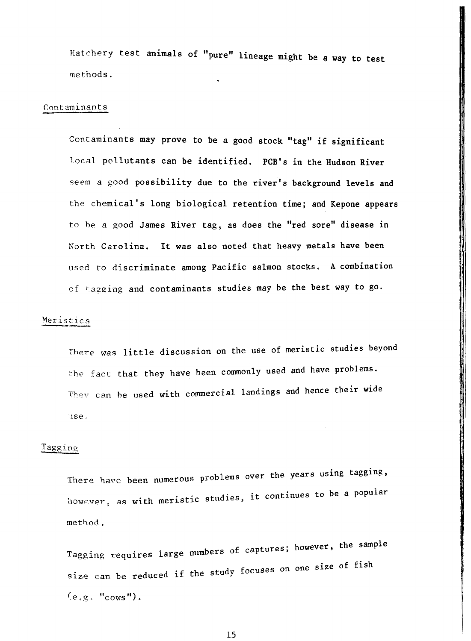Hatchery test animals of "pure" lineage might be a way to test methods.

#### Contaminants

Contaminants may prove to be a good stock "tag" if significant local pollutants can be identified. PCB's in the Hudson River seem a good possibility due to the river's background levels and the chemical's long biological retention time; and Kepone appears to be a good James River tag, as does the "red sore" disease in North Carolina. It was also noted that heavy metals have been used to discriminate among Pacific salmon stocks. A combination of hagging and contaminants studies may be the best way to go.

### Meristics

There was little discussion on the use of meristic studies beyond the fact that they have been commonly used and have problems. They can be used with commercial landings and hence their wide use.

### Tagging

There have been numerous problems over the years using tagging, however, as with meristic studies, it continues to be a popular method.

Tagging requires large numbers of captures; however, the sample size can be reduced if the study focuses on one size of fish  $(e.g. "cows").$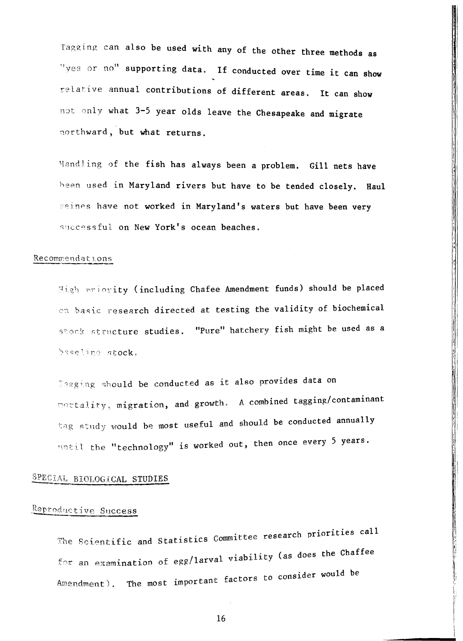Tagging can also be used with any of the other three methods as "yes or no" supporting data. If conducted over time it can show relative annual contributions of different areas. It can show not only what 3-5 year olds leave the Chesapeake and migrate northward, but what returns.

Handling of the fish has always been a problem. Gill nets have heen used in Maryland rivers but have to be tended closely. Haul seines have not worked in Maryland's waters but have been very successful on New York's ocean beaches.

#### Recommendations

High priority (including Chafee Amendment funds) should be placed on basic research directed at testing the validity of biochemical stock structure studies. "Pure" hatchery fish might be used as a baseline stock.

Eagging should be conducted as it also provides data on mortality, migration, and growth. A combined tagging/contaminant tag study would be most useful and should be conducted annually until the "technology" is worked out, then once every 5 years.

### SPECIAL BIOLOGICAL STUDIES

### Reproductive Success

The Scientific and Statistics Committee research priorities call for an examination of egg/larval viability (as does the Chaffee Amendment). The most important factors to consider would be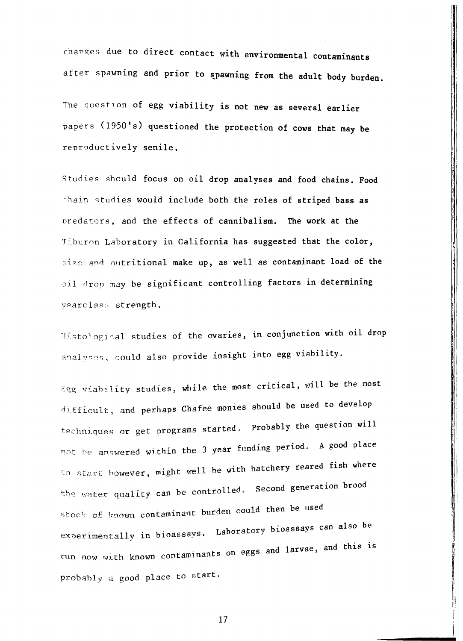changes due to direct contact with environmental contaminants after spawning and prior to spawning from the adult body burden.

The question of egg viability is not new as several earlier papers (1950's) questioned the protection of cows that may be reproductively senile.

Studies should focus on oil drop analyses and food chains. Food thain studies would include both the roles of striped bass as predators, and the effects of cannibalism. The work at the Tiburon Laboratory in California has suggested that the color, size and nutritional make up, as well as contaminant load of the pil drop may be significant controlling factors in determining yearclass strength.

Histological studies of the ovaries, in conjunction with oil drop analyses, could also provide insight into egg viability.

Egg viability studies, while the most critical, will be the most difficult, and perhaps Chafee monies should be used to develop techniques or get programs started. Probably the question will not be answered within the 3 year funding period. A good place to start however, might well be with hatchery reared fish where the water quality can be controlled. Second generation brood stock of known contaminant burden could then be used experimentally in bioassays. Laboratory bioassays can also be run now with known contaminants on eggs and larvae, and this is probably a good place to start.

17

**The Company of the Second Control of the Second Second Second Second Second Second Second Second Second Second**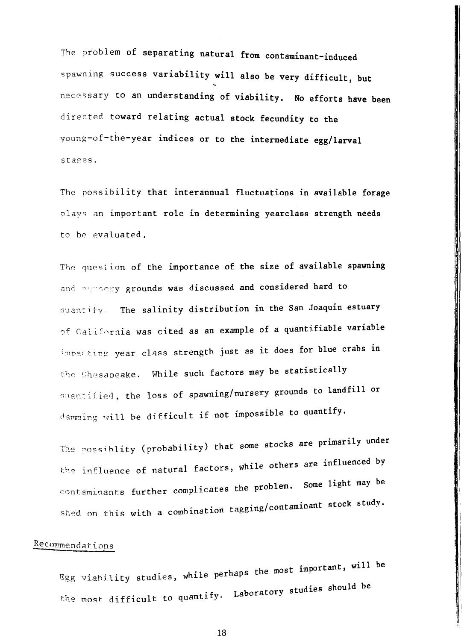The problem of separating natural from contaminant-induced spawning success variability will also be very difficult, but necessary to an understanding of viability. No efforts have been directed toward relating actual stock fecundity to the young-of-the-year indices or to the intermediate egg/larval stages.

The possibility that interannual fluctuations in available forage plays an important role in determining yearclass strength needs to be evaluated.

The question of the importance of the size of available spawning and pursery grounds was discussed and considered hard to quantify. The salinity distribution in the San Joaquin estuary of California was cited as an example of a quantifiable variable impacting year class strength just as it does for blue crabs in the Chesapeake. While such factors may be statistically quantified, the loss of spawning/nursery grounds to landfill or damming will be difficult if not impossible to quantify.

The possiblity (probability) that some stocks are primarily under the influence of natural factors, while others are influenced by contaminants further complicates the problem. Some light may be shed on this with a combination tagging/contaminant stock study.

### Recommendations

Egg viability studies, while perhaps the most important, will be the most difficult to quantify. Laboratory studies should be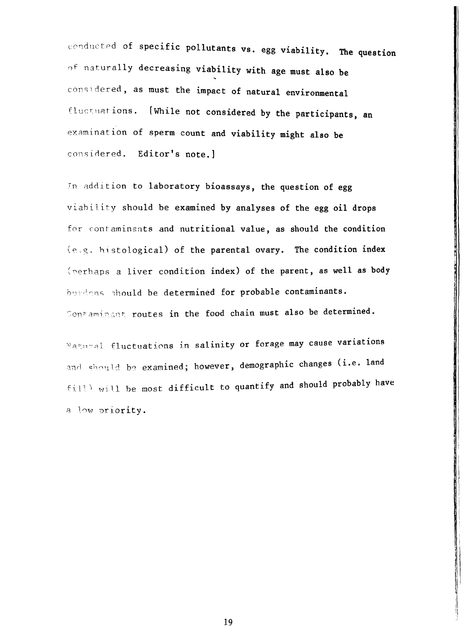conducted of specific pollutants vs. egg viability. The question of naturally decreasing viability with age must also be considered, as must the impact of natural environmental fluctuations. [While not considered by the participants, an examination of sperm count and viability might also be considered. Editor's note.1

In addition to laboratory bioassays, the question of egg viability should be examined by analyses of the egg oil drops for contaminants and nutritional value, as should the condition (e.g. histological) of the parental ovary. The condition index (perhaps a liver condition index) of the parent, as well as body burdans should be determined for probable contaminants. Contaminant routes in the food chain must also be determined.

Matural fluctuations in salinity or forage may cause variations and should be examined; however, demographic changes (i.e. land fill' will be most difficult to quantify and should probably have a low priority.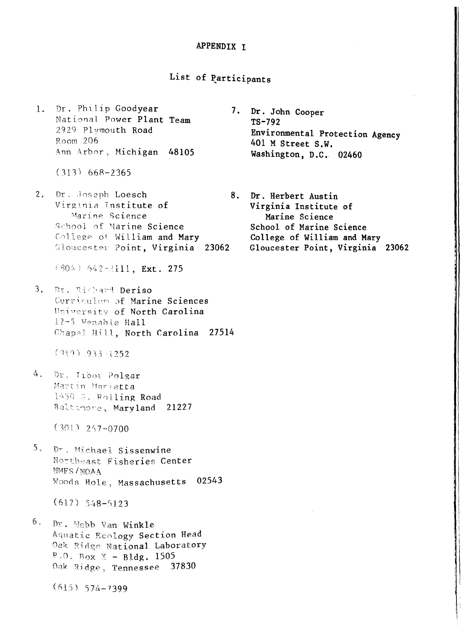### APPENDIX I

### List of Participants

1. Dr. Philip Goodyear National Power Plant Team 2929 Plymouth Road Room 206 Ann Arbor, Michigan 48105

 $(313)$  668-2365

2. Dr. Joseph Loesch Virginia Institute of Marine Science School of Marine Science College of William and Mary Gloucester Point, Virginia 23062

 $(804)$  642-2111, Ext. 275

3. Dr. Richard Deriso Curriculum of Marine Sciences University of North Carolina 12-5 Venable Hall Chapel Hill, North Carolina 27514

 $(919)$  933 1252

4. Dr. Tibox Polgar Martin Marietta 1450 S. Rolling Road Baltimore, Maryland 21227

 $(301)$  247-0700

5. Dr. Michael Sissenwine Northeast Fisheries Center MMFS/NOAA Woods Hole, Massachusetts 02543

 $(617)$  548-5123

 $6.$  Dr. Webb Van Winkle Aquatic Ecology Section Head Oak Ridge National Laboratory  $P.0.$  Box  $X - B1dg.$  1505 Oak Ridge, Tennessee 37830

 $(615)$  574-7399

- 7. Dr. John Cooper  $TS-792$ Environmental Protection Agency 401 M Street S.W. Washington, D.C. 02460
- 8. Dr. Herbert Austin Virginia Institute of Marine Science School of Marine Science College of William and Mary Gloucester Point, Virginia 23062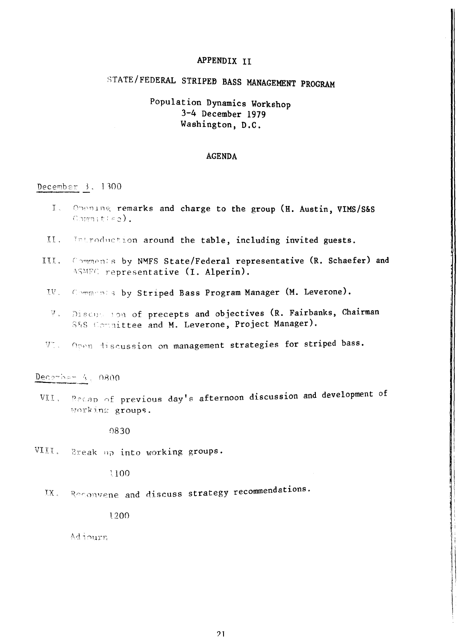### APPENDIX II

# STATE/FEDERAL STRIPED BASS MANAGEMENT PROGRAM

### Population Dynamics Workshop 3-4 December 1979 Washington, D.C.

#### **AGENDA**

### December  $3.1300$

- Opening remarks and charge to the group (H. Austin, VIMS/S&S  $L_{\odot}$ Commitied).
- II. Introduction around the table, including invited guests.
- III. Comments by NMFS State/Federal representative (R. Schaefer) and ASMFC representative (I. Alperin).
- Commonia by Striped Bass Program Manager (M. Leverone).  $\mathbf{W}_{\mathbf{A}}$
- Discussion of precepts and objectives (R. Fairbanks, Chairman  $\boldsymbol{\Psi}$  . S&S Committee and M. Leverone, Project Manager).
- VI. Open discussion on management strategies for striped bass.

### $Dec^{graphem}$  4, 0800

VII. Recap of previous day's afternoon discussion and development of Working groups.

9830

VIII. Break up into working groups.

1100

IX. Reconvene and discuss strategy recommendations.

1200

Adjourn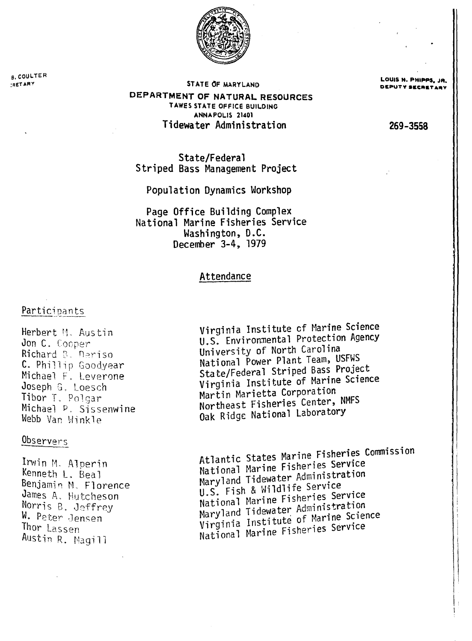

**B. COULTER IRETARY** 

STATE OF MARYLAND

DEPARTMENT OF NATURAL RESOURCES TAWES STATE OFFICE BUILDING ANNAPOLIS 21401 Tidewater Administration

LOUIS N. PHIPPS, JR.

269-3558

State/Federal Striped Bass Management Project

Population Dynamics Workshop

Page Office Building Complex National Marine Fisheries Service Washington, D.C. December 3-4, 1979

### Attendance

### Participants

Herbert M. Austin Jon C. Cooper Richard B. Deriso C. Phillip Goodyear Michael F. Leverone Joseph G. Loesch Tibor T. Polgar Michael P. Sissenwine Webb Van Winkle

### Observers

Irwin M. Alperin Kenneth L. Beal Benjamin M. Florence James A. Hutcheson Norris B. Jeffrey W. Peter Jensen Thor Lassen Austin R. Magill

Virginia Institute of Marine Science U.S. Environmental Protection Agency University of North Carolina National Power Plant Team, USFWS State/Federal Striped Bass Project Virginia Institute of Marine Science Martin Marietta Corporation Northeast Fisheries Center, NMFS Oak Ridge National Laboratory

Atlantic States Marine Fisheries Commission National Marine Fisheries Service Maryland Tidewater Administration U.S. Fish & Wildlife Service National Marine Fisheries Service Maryland Tidewater Administration Virginia Institute of Marine Science National Marine Fisheries Service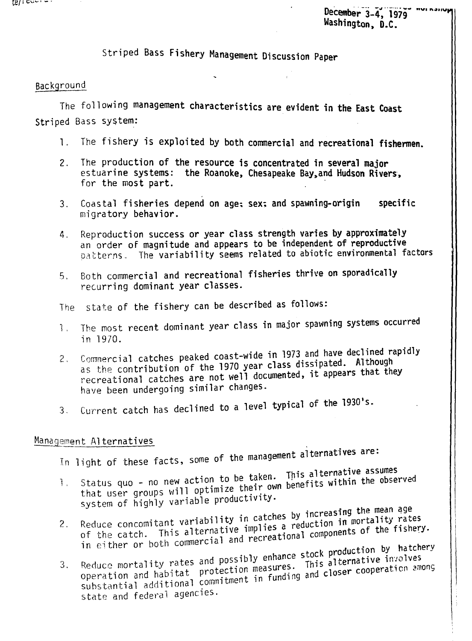December 3-4, 1979 Washington, D.C.

Striped Bass Fishery Management Discussion Paper

### Background

The following management characteristics are evident in the East Coast Striped Bass system:

- 1. The fishery is exploited by both commercial and recreational fishermen.
- The production of the resource is concentrated in several major  $2<sup>1</sup>$ estuarine systems: the Roanoke, Chesapeake Bay, and Hudson Rivers, for the most part.
- Coastal fisheries depend on age; sex; and spawning-origin specific  $3.$ migratory behavior.
- Reproduction success or year class strength varies by approximately  $4<sup>1</sup>$ an order of magnitude and appears to be independent of reproductive patterns. The variability seems related to abiotic environmental factors
- Both commercial and recreational fisheries thrive on sporadically  $5.$ recurring dominant year classes.

The state of the fishery can be described as follows:

- The most recent dominant year class in major spawning systems occurred  $\mathbf{1}$ , in 1970.
- Commercial catches peaked coast-wide in 1973 and have declined rapidly  $2.$ as the contribution of the 1970 year class dissipated. Although recreational catches are not well documented, it appears that they have been undergoing similar changes.
- Current catch has declined to a level typical of the 1930's.  $3.$

### Management Alternatives

In light of these facts, some of the management alternatives are:

- Status quo no new action to be taken. This alternative assumes that user groups will optimize their own benefits within the observed  $\mathcal{L}$ system of highly variable productivity.
- Reduce concomitant variability in catches by increasing the mean age of the catch. This alternative implies a reduction in mortality rates  $2.$ in either or both commercial and recreational components of the fishery.
- Reduce mortality rates and possibly enhance stock production by hatchery operation and habitat protection measures. This alternative involves substantial additional commitment in funding and closer cooperation among  $3.$ state and federal agencies.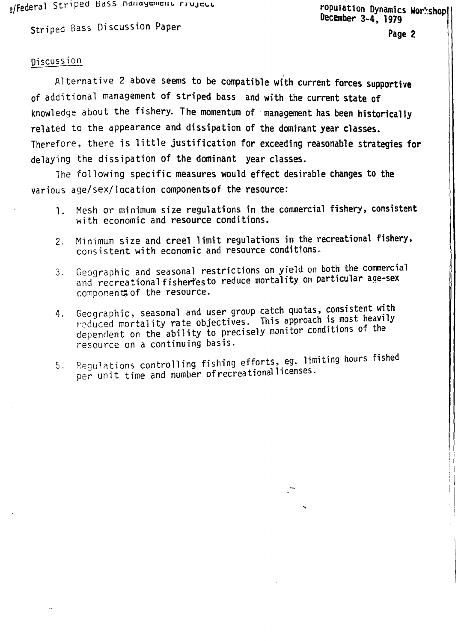$e$ /Federal Striped pass nanagement rruJect

ropulation Dynamics Workshopl December 3-4, 1979

striped Bass Discussion Paper

**Page 2** \

I

### Discussion

Alternative 2 above seems to be compatible with current forces supportive of additional management of striped bass and with the current state of knowledge about the fishery. The momentum of management has been historically related to the appearance and dissipation of the dominant year classes. Therefore, there is little justification for exceeding reasonable strategies for delaying the dissipation of the dominant year classes.

The following specific measures would effect desirable changes to the various age/sex/location componentsof the resource:

- $\mathbf{1}$ . Mesh or minimum size regulations in the commercial fishery, consistent with economic and resource conditions.
- Minimum size and creel limit regulations in the recreational fishery,  $2.$ consistent with economic and resource conditions.
- 3. Geographic and seasonal restrictions on yield on both the commercial and recreational fisheriesto reduce mortality on particular age-sex components of the resource.
- 4. Geographic, seasonal and user group catch quotas, consistent with reduced mortality rate objectives. This approach is most heavily dependent on the ability to precisely monitor conditions of the resource on a continuing basis.
- Regulations controlling fishing efforts, eg. limiting hours fished  $5<sub>1</sub>$ per unit time and number ofrecreationallicenses.

...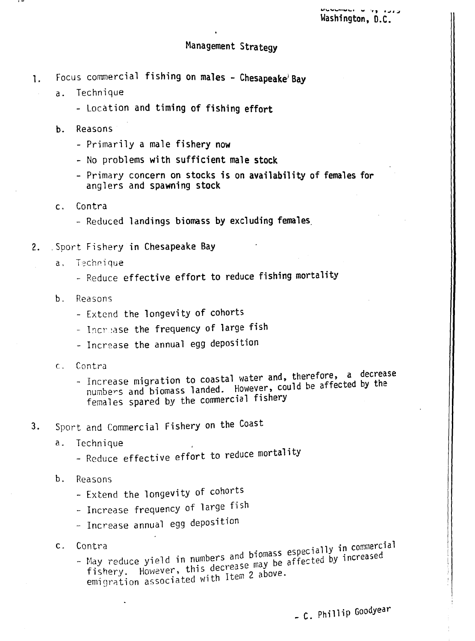### Management Strategy

- 1. Focus commercial fishing on males Chesapeake Bay
	- a. Technique
		- Location and timing of fishing effort
		- b. Reasons
			- Primarily a male fishery now
			- No problems with sufficient male stock
			- Primary concern on stocks is on availability of females for anglers and spawning stock
		- c. Contra
			- Reduced landings biomass by excluding females.
- 2. Sport Fishery in Chesapeake Bay
	- a. Technique
		- Reduce effective effort to reduce fishing mortality
	- b, Reasons
		- Extend the longevity of cohorts
		- Increase the frequency of large fish
		- Increase the annual egg deposition
	- e, Contra
		- Increase migration to coastal water and, therefore, a decrease numbers and biomass landed. However, could be affected by the females spared by the commercial fishery
- 3. Sport and Commercial Fishery on the Coast
	- a. Technique ,
		- Reduce effective effort to reduce mortality
	- b. Reasons
		- Extend the **1** ongevity of cohorts
		- Increase frequency of large fish
		- Increase annual egg deposition
	- $C_{\alpha}$
- May reduce yield in numbers and biomass especially in commercial fishers and biomass especially in commercial fishery. However, this decrease may be affected by increased<br>emigration associated with Item 2 above.